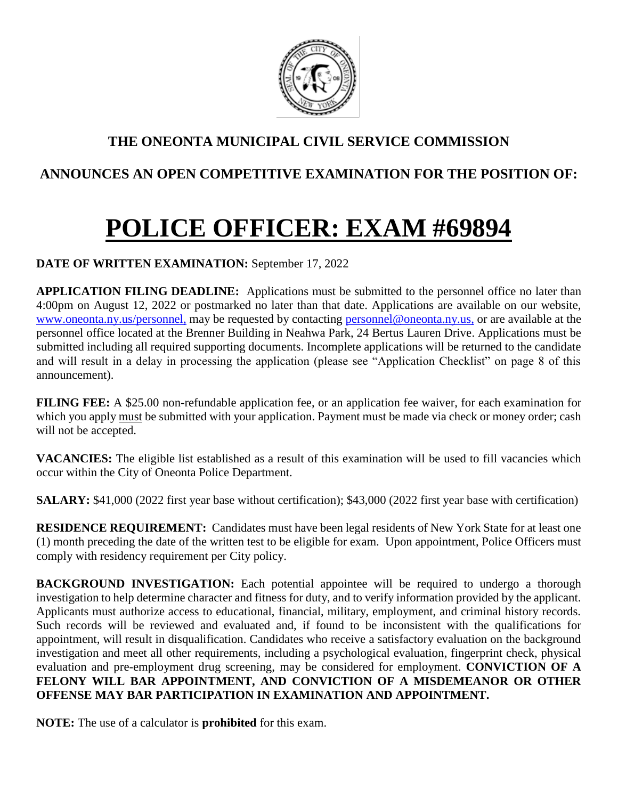

## **THE ONEONTA MUNICIPAL CIVIL SERVICE COMMISSION**

## **ANNOUNCES AN OPEN COMPETITIVE EXAMINATION FOR THE POSITION OF:**

# **POLICE OFFICER: EXAM #69894**

### **DATE OF WRITTEN EXAMINATION:** September 17, 2022

**APPLICATION FILING DEADLINE:** Applications must be submitted to the personnel office no later than 4:00pm on August 12, 2022 or postmarked no later than that date. Applications are available on our website, [www.oneonta.ny.us/personnel,](http://www.oneonta.ny.us/personnel) may be requested by contacting [personnel@oneonta.ny.us,](mailto:personnel@oneonta.ny.us) or are available at the personnel office located at the Brenner Building in Neahwa Park, 24 Bertus Lauren Drive. Applications must be submitted including all required supporting documents. Incomplete applications will be returned to the candidate and will result in a delay in processing the application (please see "Application Checklist" on page 8 of this announcement).

**FILING FEE:** A \$25.00 non-refundable application fee, or an application fee waiver, for each examination for which you apply must be submitted with your application. Payment must be made via check or money order; cash will not be accepted.

**VACANCIES:** The eligible list established as a result of this examination will be used to fill vacancies which occur within the City of Oneonta Police Department.

**SALARY:** \$41,000 (2022 first year base without certification); \$43,000 (2022 first year base with certification)

**RESIDENCE REQUIREMENT:** Candidates must have been legal residents of New York State for at least one (1) month preceding the date of the written test to be eligible for exam. Upon appointment, Police Officers must comply with residency requirement per City policy.

**BACKGROUND INVESTIGATION:** Each potential appointee will be required to undergo a thorough investigation to help determine character and fitness for duty, and to verify information provided by the applicant. Applicants must authorize access to educational, financial, military, employment, and criminal history records. Such records will be reviewed and evaluated and, if found to be inconsistent with the qualifications for appointment, will result in disqualification. Candidates who receive a satisfactory evaluation on the background investigation and meet all other requirements, including a psychological evaluation, fingerprint check, physical evaluation and pre-employment drug screening, may be considered for employment. **CONVICTION OF A FELONY WILL BAR APPOINTMENT, AND CONVICTION OF A MISDEMEANOR OR OTHER OFFENSE MAY BAR PARTICIPATION IN EXAMINATION AND APPOINTMENT.**

**NOTE:** The use of a calculator is **prohibited** for this exam.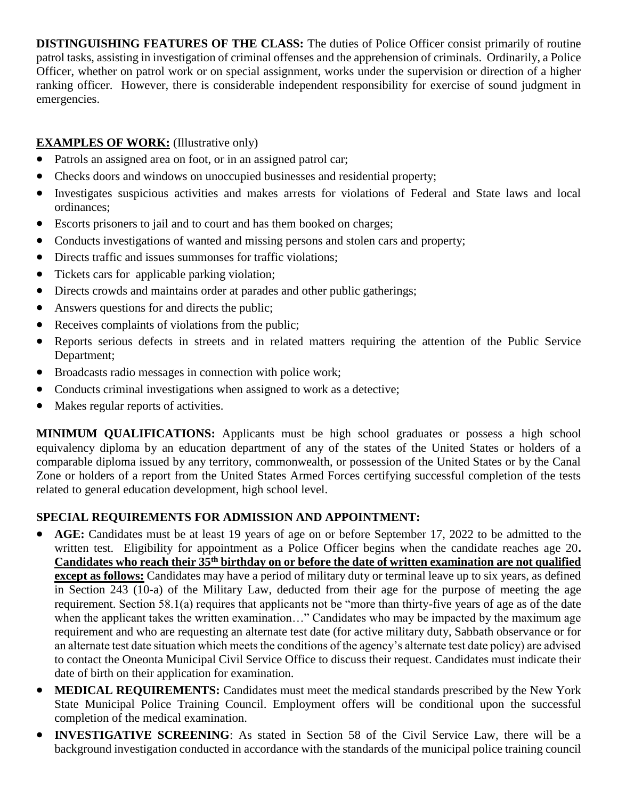**DISTINGUISHING FEATURES OF THE CLASS:** The duties of Police Officer consist primarily of routine patrol tasks, assisting in investigation of criminal offenses and the apprehension of criminals. Ordinarily, a Police Officer, whether on patrol work or on special assignment, works under the supervision or direction of a higher ranking officer. However, there is considerable independent responsibility for exercise of sound judgment in emergencies.

#### **EXAMPLES OF WORK:** (Illustrative only)

- Patrols an assigned area on foot, or in an assigned patrol car;
- Checks doors and windows on unoccupied businesses and residential property;
- Investigates suspicious activities and makes arrests for violations of Federal and State laws and local ordinances;
- Escorts prisoners to jail and to court and has them booked on charges;
- Conducts investigations of wanted and missing persons and stolen cars and property;
- Directs traffic and issues summonses for traffic violations:
- Tickets cars for applicable parking violation;
- Directs crowds and maintains order at parades and other public gatherings;
- Answers questions for and directs the public;
- Receives complaints of violations from the public;
- Reports serious defects in streets and in related matters requiring the attention of the Public Service Department;
- Broadcasts radio messages in connection with police work;
- Conducts criminal investigations when assigned to work as a detective;
- Makes regular reports of activities.

**MINIMUM QUALIFICATIONS:** Applicants must be high school graduates or possess a high school equivalency diploma by an education department of any of the states of the United States or holders of a comparable diploma issued by any territory, commonwealth, or possession of the United States or by the Canal Zone or holders of a report from the United States Armed Forces certifying successful completion of the tests related to general education development, high school level.

#### **SPECIAL REQUIREMENTS FOR ADMISSION AND APPOINTMENT:**

- **AGE:** Candidates must be at least 19 years of age on or before September 17, 2022 to be admitted to the written test. Eligibility for appointment as a Police Officer begins when the candidate reaches age 20**. Candidates who reach their 35th birthday on or before the date of written examination are not qualified except as follows:** Candidates may have a period of military duty or terminal leave up to six years, as defined in Section 243 (10-a) of the Military Law, deducted from their age for the purpose of meeting the age requirement. Section 58.1(a) requires that applicants not be "more than thirty-five years of age as of the date when the applicant takes the written examination..." Candidates who may be impacted by the maximum age requirement and who are requesting an alternate test date (for active military duty, Sabbath observance or for an alternate test date situation which meets the conditions of the agency's alternate test date policy) are advised to contact the Oneonta Municipal Civil Service Office to discuss their request. Candidates must indicate their date of birth on their application for examination.
- **MEDICAL REQUIREMENTS:** Candidates must meet the medical standards prescribed by the New York State Municipal Police Training Council. Employment offers will be conditional upon the successful completion of the medical examination.
- **INVESTIGATIVE SCREENING**: As stated in Section 58 of the Civil Service Law, there will be a background investigation conducted in accordance with the standards of the municipal police training council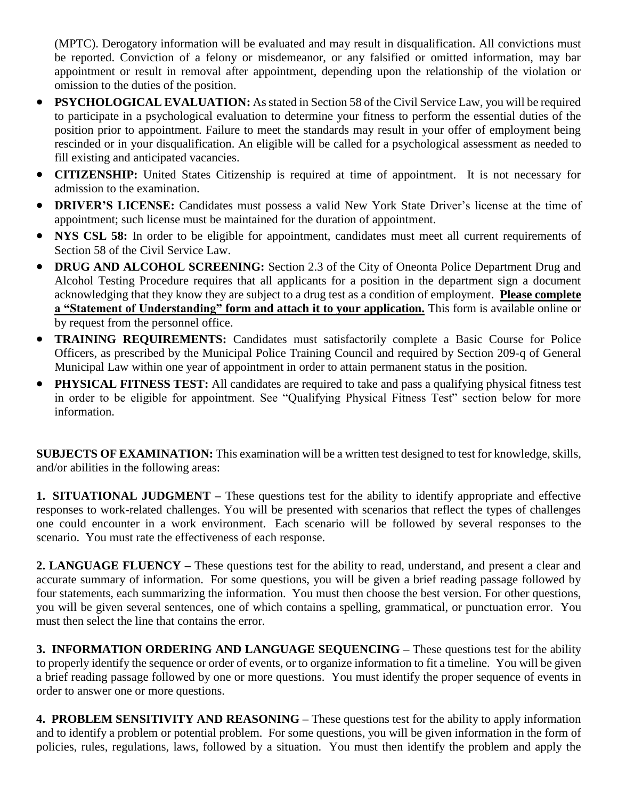(MPTC). Derogatory information will be evaluated and may result in disqualification. All convictions must be reported. Conviction of a felony or misdemeanor, or any falsified or omitted information, may bar appointment or result in removal after appointment, depending upon the relationship of the violation or omission to the duties of the position.

- **PSYCHOLOGICAL EVALUATION:** As stated in Section 58 of the Civil Service Law, you will be required to participate in a psychological evaluation to determine your fitness to perform the essential duties of the position prior to appointment. Failure to meet the standards may result in your offer of employment being rescinded or in your disqualification. An eligible will be called for a psychological assessment as needed to fill existing and anticipated vacancies.
- **CITIZENSHIP:** United States Citizenship is required at time of appointment. It is not necessary for admission to the examination.
- **DRIVER'S LICENSE:** Candidates must possess a valid New York State Driver's license at the time of appointment; such license must be maintained for the duration of appointment.
- **NYS CSL 58:** In order to be eligible for appointment, candidates must meet all current requirements of Section 58 of the Civil Service Law.
- **DRUG AND ALCOHOL SCREENING:** Section 2.3 of the City of Oneonta Police Department Drug and Alcohol Testing Procedure requires that all applicants for a position in the department sign a document acknowledging that they know they are subject to a drug test as a condition of employment. **Please complete a "Statement of Understanding" form and attach it to your application.** This form is available online or by request from the personnel office.
- **TRAINING REQUIREMENTS:** Candidates must satisfactorily complete a Basic Course for Police Officers, as prescribed by the Municipal Police Training Council and required by Section 209-q of General Municipal Law within one year of appointment in order to attain permanent status in the position.
- **PHYSICAL FITNESS TEST:** All candidates are required to take and pass a qualifying physical fitness test in order to be eligible for appointment. See "Qualifying Physical Fitness Test" section below for more information.

**SUBJECTS OF EXAMINATION:** This examination will be a written test designed to test for knowledge, skills, and/or abilities in the following areas:

**1. SITUATIONAL JUDGMENT –** These questions test for the ability to identify appropriate and effective responses to work-related challenges. You will be presented with scenarios that reflect the types of challenges one could encounter in a work environment. Each scenario will be followed by several responses to the scenario. You must rate the effectiveness of each response.

**2. LANGUAGE FLUENCY –** These questions test for the ability to read, understand, and present a clear and accurate summary of information. For some questions, you will be given a brief reading passage followed by four statements, each summarizing the information. You must then choose the best version. For other questions, you will be given several sentences, one of which contains a spelling, grammatical, or punctuation error. You must then select the line that contains the error.

**3. INFORMATION ORDERING AND LANGUAGE SEQUENCING –** These questions test for the ability to properly identify the sequence or order of events, or to organize information to fit a timeline. You will be given a brief reading passage followed by one or more questions. You must identify the proper sequence of events in order to answer one or more questions.

**4. PROBLEM SENSITIVITY AND REASONING –** These questions test for the ability to apply information and to identify a problem or potential problem. For some questions, you will be given information in the form of policies, rules, regulations, laws, followed by a situation. You must then identify the problem and apply the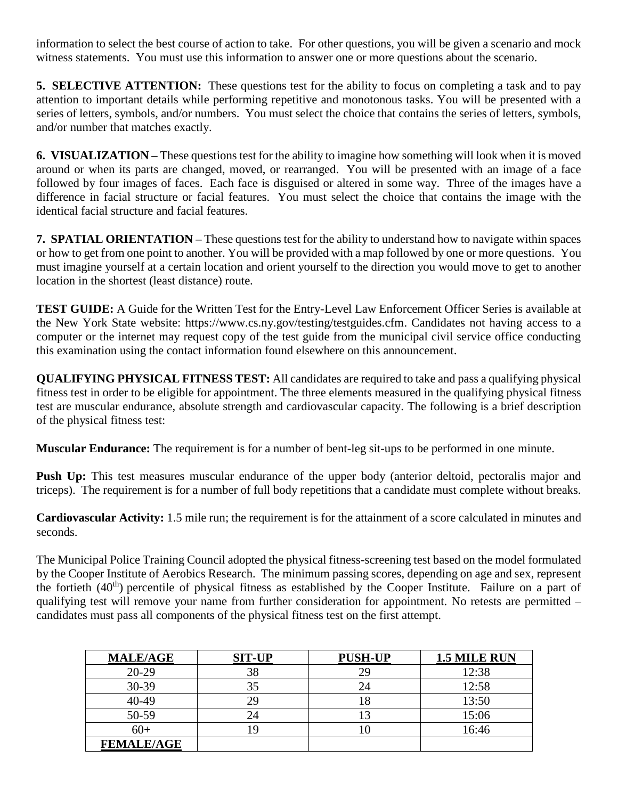information to select the best course of action to take. For other questions, you will be given a scenario and mock witness statements. You must use this information to answer one or more questions about the scenario.

**5. SELECTIVE ATTENTION:** These questions test for the ability to focus on completing a task and to pay attention to important details while performing repetitive and monotonous tasks. You will be presented with a series of letters, symbols, and/or numbers. You must select the choice that contains the series of letters, symbols, and/or number that matches exactly.

**6. VISUALIZATION –** These questions test for the ability to imagine how something will look when it is moved around or when its parts are changed, moved, or rearranged. You will be presented with an image of a face followed by four images of faces. Each face is disguised or altered in some way. Three of the images have a difference in facial structure or facial features. You must select the choice that contains the image with the identical facial structure and facial features.

**7. SPATIAL ORIENTATION –** These questions test for the ability to understand how to navigate within spaces or how to get from one point to another. You will be provided with a map followed by one or more questions. You must imagine yourself at a certain location and orient yourself to the direction you would move to get to another location in the shortest (least distance) route.

**TEST GUIDE:** A Guide for the Written Test for the Entry-Level Law Enforcement Officer Series is available at the New York State website: https://www.cs.ny.gov/testing/testguides.cfm. Candidates not having access to a computer or the internet may request copy of the test guide from the municipal civil service office conducting this examination using the contact information found elsewhere on this announcement.

**QUALIFYING PHYSICAL FITNESS TEST:** All candidates are required to take and pass a qualifying physical fitness test in order to be eligible for appointment. The three elements measured in the qualifying physical fitness test are muscular endurance, absolute strength and cardiovascular capacity. The following is a brief description of the physical fitness test:

**Muscular Endurance:** The requirement is for a number of bent-leg sit-ups to be performed in one minute.

**Push Up:** This test measures muscular endurance of the upper body (anterior deltoid, pectoralis major and triceps). The requirement is for a number of full body repetitions that a candidate must complete without breaks.

**Cardiovascular Activity:** 1.5 mile run; the requirement is for the attainment of a score calculated in minutes and seconds.

The Municipal Police Training Council adopted the physical fitness-screening test based on the model formulated by the Cooper Institute of Aerobics Research. The minimum passing scores, depending on age and sex, represent the fortieth  $(40<sup>th</sup>)$  percentile of physical fitness as established by the Cooper Institute. Failure on a part of qualifying test will remove your name from further consideration for appointment. No retests are permitted – candidates must pass all components of the physical fitness test on the first attempt.

| <b>MALE/AGE</b>   | <b>SIT-UP</b> | <b>PUSH-UP</b> | 1.5 MILE RUN |
|-------------------|---------------|----------------|--------------|
| 20-29             | 38            | 29             | 12:38        |
| 30-39             | 35            | 24             | 12:58        |
| 40-49             | 29            | 18             | 13:50        |
| 50-59             | 24            |                | 15:06        |
| $60+$             | 19            |                | 16:46        |
| <b>FEMALE/AGE</b> |               |                |              |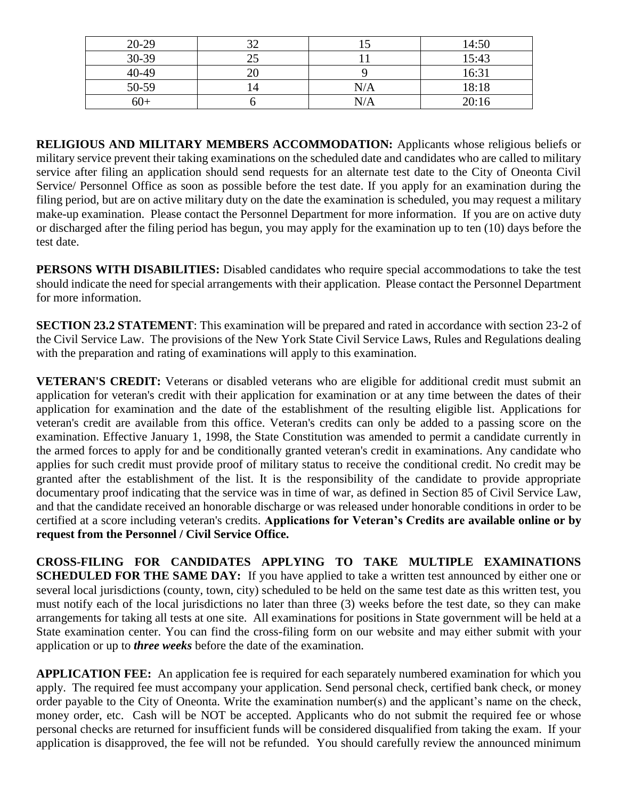| 20-29 | າາ |     | 14:50 |
|-------|----|-----|-------|
| 30-39 |    |     | 15:43 |
| 40-49 |    |     | 16:31 |
| 50-59 | 14 | N/A | 18:18 |
| $60+$ |    | N/A | 20:16 |

**RELIGIOUS AND MILITARY MEMBERS ACCOMMODATION:** Applicants whose religious beliefs or military service prevent their taking examinations on the scheduled date and candidates who are called to military service after filing an application should send requests for an alternate test date to the City of Oneonta Civil Service/ Personnel Office as soon as possible before the test date. If you apply for an examination during the filing period, but are on active military duty on the date the examination is scheduled, you may request a military make-up examination. Please contact the Personnel Department for more information. If you are on active duty or discharged after the filing period has begun, you may apply for the examination up to ten (10) days before the test date.

**PERSONS WITH DISABILITIES:** Disabled candidates who require special accommodations to take the test should indicate the need for special arrangements with their application. Please contact the Personnel Department for more information.

**SECTION 23.2 STATEMENT**: This examination will be prepared and rated in accordance with section 23-2 of the Civil Service Law. The provisions of the New York State Civil Service Laws, Rules and Regulations dealing with the preparation and rating of examinations will apply to this examination.

**VETERAN'S CREDIT:** Veterans or disabled veterans who are eligible for additional credit must submit an application for veteran's credit with their application for examination or at any time between the dates of their application for examination and the date of the establishment of the resulting eligible list. Applications for veteran's credit are available from this office. Veteran's credits can only be added to a passing score on the examination. Effective January 1, 1998, the State Constitution was amended to permit a candidate currently in the armed forces to apply for and be conditionally granted veteran's credit in examinations. Any candidate who applies for such credit must provide proof of military status to receive the conditional credit. No credit may be granted after the establishment of the list. It is the responsibility of the candidate to provide appropriate documentary proof indicating that the service was in time of war, as defined in Section 85 of Civil Service Law, and that the candidate received an honorable discharge or was released under honorable conditions in order to be certified at a score including veteran's credits. **Applications for Veteran's Credits are available online or by request from the Personnel / Civil Service Office.** 

**CROSS-FILING FOR CANDIDATES APPLYING TO TAKE MULTIPLE EXAMINATIONS SCHEDULED FOR THE SAME DAY:** If you have applied to take a written test announced by either one or several local jurisdictions (county, town, city) scheduled to be held on the same test date as this written test, you must notify each of the local jurisdictions no later than three (3) weeks before the test date, so they can make arrangements for taking all tests at one site. All examinations for positions in State government will be held at a State examination center. You can find the cross-filing form on our website and may either submit with your application or up to *three weeks* before the date of the examination.

**APPLICATION FEE:** An application fee is required for each separately numbered examination for which you apply. The required fee must accompany your application. Send personal check, certified bank check, or money order payable to the City of Oneonta. Write the examination number(s) and the applicant's name on the check, money order, etc. Cash will be NOT be accepted. Applicants who do not submit the required fee or whose personal checks are returned for insufficient funds will be considered disqualified from taking the exam. If your application is disapproved, the fee will not be refunded. You should carefully review the announced minimum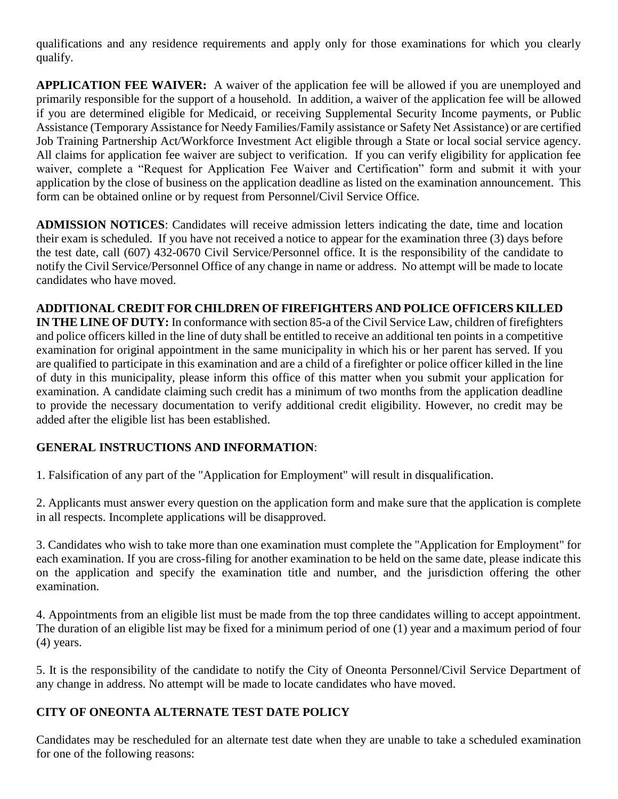qualifications and any residence requirements and apply only for those examinations for which you clearly qualify.

**APPLICATION FEE WAIVER:** A waiver of the application fee will be allowed if you are unemployed and primarily responsible for the support of a household. In addition, a waiver of the application fee will be allowed if you are determined eligible for Medicaid, or receiving Supplemental Security Income payments, or Public Assistance (Temporary Assistance for Needy Families/Family assistance or Safety Net Assistance) or are certified Job Training Partnership Act/Workforce Investment Act eligible through a State or local social service agency. All claims for application fee waiver are subject to verification. If you can verify eligibility for application fee waiver, complete a "Request for Application Fee Waiver and Certification" form and submit it with your application by the close of business on the application deadline as listed on the examination announcement. This form can be obtained online or by request from Personnel/Civil Service Office.

**ADMISSION NOTICES**: Candidates will receive admission letters indicating the date, time and location their exam is scheduled. If you have not received a notice to appear for the examination three (3) days before the test date, call (607) 432-0670 Civil Service/Personnel office. It is the responsibility of the candidate to notify the Civil Service/Personnel Office of any change in name or address. No attempt will be made to locate candidates who have moved.

**ADDITIONAL CREDIT FOR CHILDREN OF FIREFIGHTERS AND POLICE OFFICERS KILLED IN THE LINE OF DUTY:** In conformance with section 85-a of the Civil Service Law, children of firefighters and police officers killed in the line of duty shall be entitled to receive an additional ten points in a competitive examination for original appointment in the same municipality in which his or her parent has served. If you are qualified to participate in this examination and are a child of a firefighter or police officer killed in the line of duty in this municipality, please inform this office of this matter when you submit your application for examination. A candidate claiming such credit has a minimum of two months from the application deadline to provide the necessary documentation to verify additional credit eligibility. However, no credit may be added after the eligible list has been established.

#### **GENERAL INSTRUCTIONS AND INFORMATION**:

1. Falsification of any part of the "Application for Employment" will result in disqualification.

2. Applicants must answer every question on the application form and make sure that the application is complete in all respects. Incomplete applications will be disapproved.

3. Candidates who wish to take more than one examination must complete the "Application for Employment" for each examination. If you are cross-filing for another examination to be held on the same date, please indicate this on the application and specify the examination title and number, and the jurisdiction offering the other examination.

4. Appointments from an eligible list must be made from the top three candidates willing to accept appointment. The duration of an eligible list may be fixed for a minimum period of one (1) year and a maximum period of four (4) years.

5. It is the responsibility of the candidate to notify the City of Oneonta Personnel/Civil Service Department of any change in address. No attempt will be made to locate candidates who have moved.

#### **CITY OF ONEONTA ALTERNATE TEST DATE POLICY**

Candidates may be rescheduled for an alternate test date when they are unable to take a scheduled examination for one of the following reasons: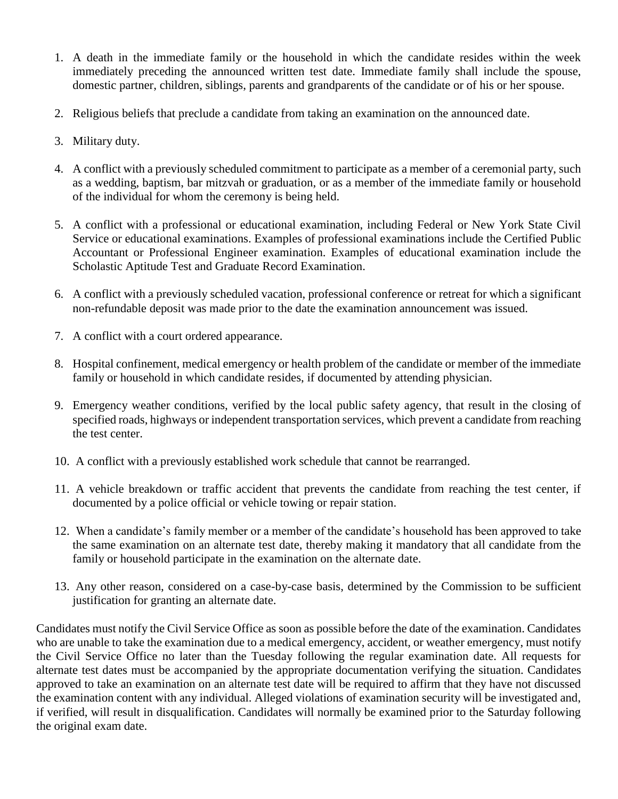- 1. A death in the immediate family or the household in which the candidate resides within the week immediately preceding the announced written test date. Immediate family shall include the spouse, domestic partner, children, siblings, parents and grandparents of the candidate or of his or her spouse.
- 2. Religious beliefs that preclude a candidate from taking an examination on the announced date.
- 3. Military duty.
- 4. A conflict with a previously scheduled commitment to participate as a member of a ceremonial party, such as a wedding, baptism, bar mitzvah or graduation, or as a member of the immediate family or household of the individual for whom the ceremony is being held.
- 5. A conflict with a professional or educational examination, including Federal or New York State Civil Service or educational examinations. Examples of professional examinations include the Certified Public Accountant or Professional Engineer examination. Examples of educational examination include the Scholastic Aptitude Test and Graduate Record Examination.
- 6. A conflict with a previously scheduled vacation, professional conference or retreat for which a significant non-refundable deposit was made prior to the date the examination announcement was issued.
- 7. A conflict with a court ordered appearance.
- 8. Hospital confinement, medical emergency or health problem of the candidate or member of the immediate family or household in which candidate resides, if documented by attending physician.
- 9. Emergency weather conditions, verified by the local public safety agency, that result in the closing of specified roads, highways or independent transportation services, which prevent a candidate from reaching the test center.
- 10. A conflict with a previously established work schedule that cannot be rearranged.
- 11. A vehicle breakdown or traffic accident that prevents the candidate from reaching the test center, if documented by a police official or vehicle towing or repair station.
- 12. When a candidate's family member or a member of the candidate's household has been approved to take the same examination on an alternate test date, thereby making it mandatory that all candidate from the family or household participate in the examination on the alternate date.
- 13. Any other reason, considered on a case-by-case basis, determined by the Commission to be sufficient justification for granting an alternate date.

Candidates must notify the Civil Service Office as soon as possible before the date of the examination. Candidates who are unable to take the examination due to a medical emergency, accident, or weather emergency, must notify the Civil Service Office no later than the Tuesday following the regular examination date. All requests for alternate test dates must be accompanied by the appropriate documentation verifying the situation. Candidates approved to take an examination on an alternate test date will be required to affirm that they have not discussed the examination content with any individual. Alleged violations of examination security will be investigated and, if verified, will result in disqualification. Candidates will normally be examined prior to the Saturday following the original exam date.